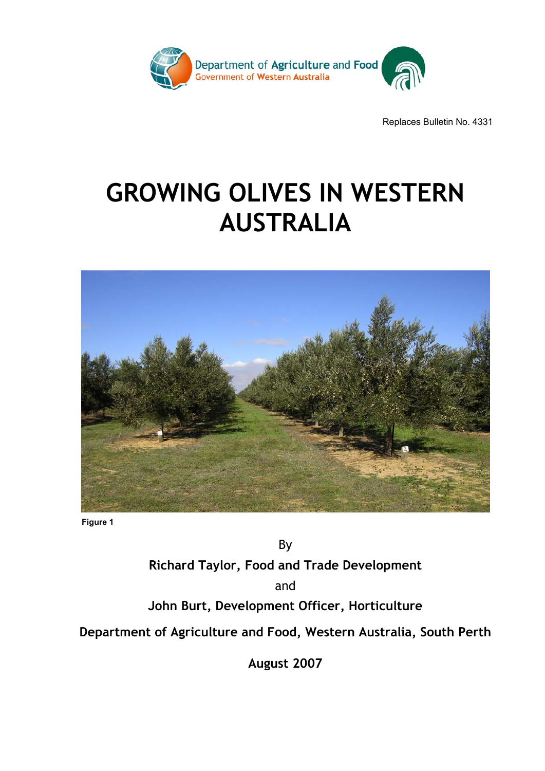

Replaces Bulletin No. 4331

# **GROWING OLIVES IN WESTERN AUSTRALIA**



**Figure 1** 

By **Richard Taylor, Food and Trade Development**  and **John Burt, Development Officer, Horticulture Department of Agriculture and Food, Western Australia, South Perth** 

**August 2007**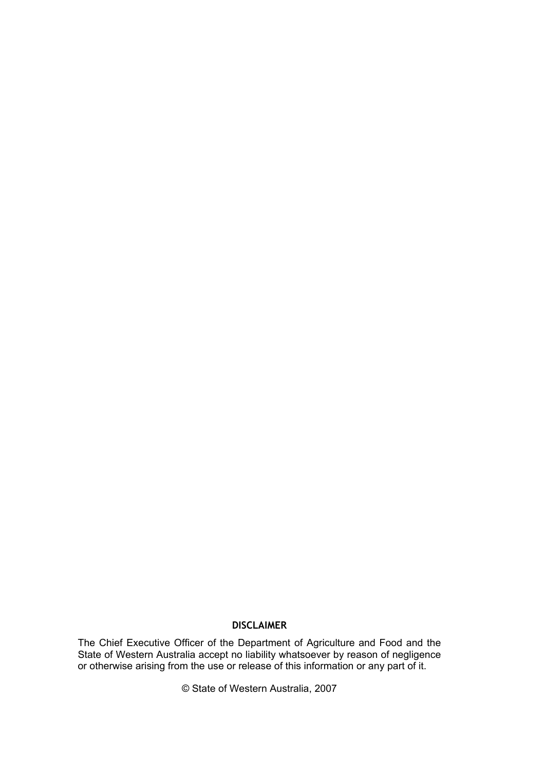#### **DISCLAIMER**

The Chief Executive Officer of the Department of Agriculture and Food and the State of Western Australia accept no liability whatsoever by reason of negligence or otherwise arising from the use or release of this information or any part of it.

© State of Western Australia, 2007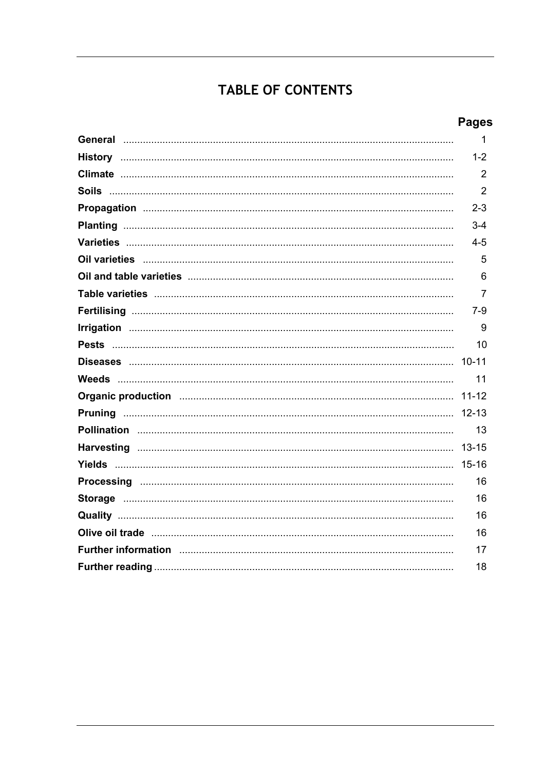# TABLE OF CONTENTS

# **Pages**

|                                                                                                                                                                                                                                | 1              |
|--------------------------------------------------------------------------------------------------------------------------------------------------------------------------------------------------------------------------------|----------------|
|                                                                                                                                                                                                                                | $1 - 2$        |
|                                                                                                                                                                                                                                | 2              |
|                                                                                                                                                                                                                                | $\overline{2}$ |
|                                                                                                                                                                                                                                | $2 - 3$        |
|                                                                                                                                                                                                                                | $3 - 4$        |
|                                                                                                                                                                                                                                | $4 - 5$        |
|                                                                                                                                                                                                                                | 5              |
|                                                                                                                                                                                                                                | 6              |
|                                                                                                                                                                                                                                | 7              |
|                                                                                                                                                                                                                                | 7-9            |
|                                                                                                                                                                                                                                | 9              |
|                                                                                                                                                                                                                                | 10             |
|                                                                                                                                                                                                                                |                |
|                                                                                                                                                                                                                                | 11             |
|                                                                                                                                                                                                                                | $11 - 12$      |
|                                                                                                                                                                                                                                | $12 - 13$      |
|                                                                                                                                                                                                                                | 13             |
|                                                                                                                                                                                                                                | $13 - 15$      |
|                                                                                                                                                                                                                                | $15 - 16$      |
|                                                                                                                                                                                                                                | 16             |
|                                                                                                                                                                                                                                | 16             |
|                                                                                                                                                                                                                                | 16             |
|                                                                                                                                                                                                                                | 16             |
| Further information manufactured and the contract of the contract of the contract of the contract of the control of the contract of the contract of the contract of the contract of the contract of the contract of the contra | 17             |
|                                                                                                                                                                                                                                | 18             |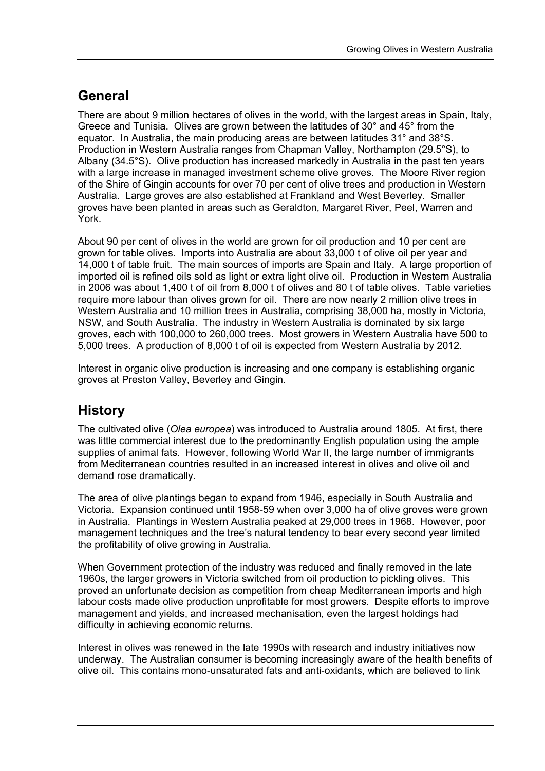# **General**

There are about 9 million hectares of olives in the world, with the largest areas in Spain, Italy, Greece and Tunisia. Olives are grown between the latitudes of 30° and 45° from the equator. In Australia, the main producing areas are between latitudes 31° and 38°S. Production in Western Australia ranges from Chapman Valley, Northampton (29.5°S), to Albany (34.5°S). Olive production has increased markedly in Australia in the past ten years with a large increase in managed investment scheme olive groves. The Moore River region of the Shire of Gingin accounts for over 70 per cent of olive trees and production in Western Australia. Large groves are also established at Frankland and West Beverley. Smaller groves have been planted in areas such as Geraldton, Margaret River, Peel, Warren and York.

About 90 per cent of olives in the world are grown for oil production and 10 per cent are grown for table olives. Imports into Australia are about 33,000 t of olive oil per year and 14,000 t of table fruit. The main sources of imports are Spain and Italy. A large proportion of imported oil is refined oils sold as light or extra light olive oil. Production in Western Australia in 2006 was about 1,400 t of oil from 8,000 t of olives and 80 t of table olives. Table varieties require more labour than olives grown for oil. There are now nearly 2 million olive trees in Western Australia and 10 million trees in Australia, comprising 38,000 ha, mostly in Victoria, NSW, and South Australia. The industry in Western Australia is dominated by six large groves, each with 100,000 to 260,000 trees. Most growers in Western Australia have 500 to 5,000 trees. A production of 8,000 t of oil is expected from Western Australia by 2012.

Interest in organic olive production is increasing and one company is establishing organic groves at Preston Valley, Beverley and Gingin.

### **History**

The cultivated olive (*Olea europea*) was introduced to Australia around 1805. At first, there was little commercial interest due to the predominantly English population using the ample supplies of animal fats. However, following World War II, the large number of immigrants from Mediterranean countries resulted in an increased interest in olives and olive oil and demand rose dramatically.

The area of olive plantings began to expand from 1946, especially in South Australia and Victoria. Expansion continued until 1958-59 when over 3,000 ha of olive groves were grown in Australia. Plantings in Western Australia peaked at 29,000 trees in 1968. However, poor management techniques and the tree's natural tendency to bear every second year limited the profitability of olive growing in Australia.

When Government protection of the industry was reduced and finally removed in the late 1960s, the larger growers in Victoria switched from oil production to pickling olives. This proved an unfortunate decision as competition from cheap Mediterranean imports and high labour costs made olive production unprofitable for most growers. Despite efforts to improve management and yields, and increased mechanisation, even the largest holdings had difficulty in achieving economic returns.

Interest in olives was renewed in the late 1990s with research and industry initiatives now underway. The Australian consumer is becoming increasingly aware of the health benefits of olive oil. This contains mono-unsaturated fats and anti-oxidants, which are believed to link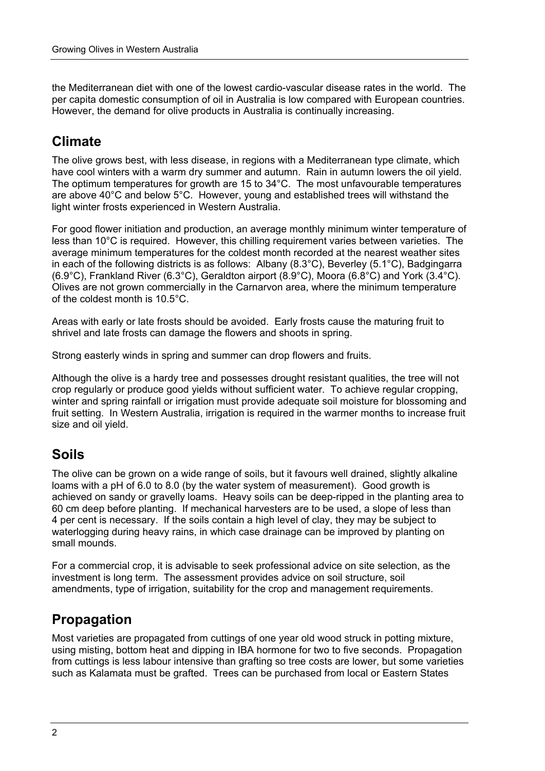the Mediterranean diet with one of the lowest cardio-vascular disease rates in the world. The per capita domestic consumption of oil in Australia is low compared with European countries. However, the demand for olive products in Australia is continually increasing.

# **Climate**

The olive grows best, with less disease, in regions with a Mediterranean type climate, which have cool winters with a warm dry summer and autumn. Rain in autumn lowers the oil yield. The optimum temperatures for growth are 15 to 34°C. The most unfavourable temperatures are above 40°C and below 5°C. However, young and established trees will withstand the light winter frosts experienced in Western Australia.

For good flower initiation and production, an average monthly minimum winter temperature of less than 10°C is required. However, this chilling requirement varies between varieties. The average minimum temperatures for the coldest month recorded at the nearest weather sites in each of the following districts is as follows: Albany (8.3°C), Beverley (5.1°C), Badgingarra (6.9°C), Frankland River (6.3°C), Geraldton airport (8.9°C), Moora (6.8°C) and York (3.4°C). Olives are not grown commercially in the Carnarvon area, where the minimum temperature of the coldest month is 10.5°C.

Areas with early or late frosts should be avoided. Early frosts cause the maturing fruit to shrivel and late frosts can damage the flowers and shoots in spring.

Strong easterly winds in spring and summer can drop flowers and fruits.

Although the olive is a hardy tree and possesses drought resistant qualities, the tree will not crop regularly or produce good yields without sufficient water. To achieve regular cropping, winter and spring rainfall or irrigation must provide adequate soil moisture for blossoming and fruit setting. In Western Australia, irrigation is required in the warmer months to increase fruit size and oil yield.

# **Soils**

The olive can be grown on a wide range of soils, but it favours well drained, slightly alkaline loams with a pH of 6.0 to 8.0 (by the water system of measurement). Good growth is achieved on sandy or gravelly loams. Heavy soils can be deep-ripped in the planting area to 60 cm deep before planting. If mechanical harvesters are to be used, a slope of less than 4 per cent is necessary. If the soils contain a high level of clay, they may be subject to waterlogging during heavy rains, in which case drainage can be improved by planting on small mounds.

For a commercial crop, it is advisable to seek professional advice on site selection, as the investment is long term. The assessment provides advice on soil structure, soil amendments, type of irrigation, suitability for the crop and management requirements.

### **Propagation**

Most varieties are propagated from cuttings of one year old wood struck in potting mixture, using misting, bottom heat and dipping in IBA hormone for two to five seconds. Propagation from cuttings is less labour intensive than grafting so tree costs are lower, but some varieties such as Kalamata must be grafted. Trees can be purchased from local or Eastern States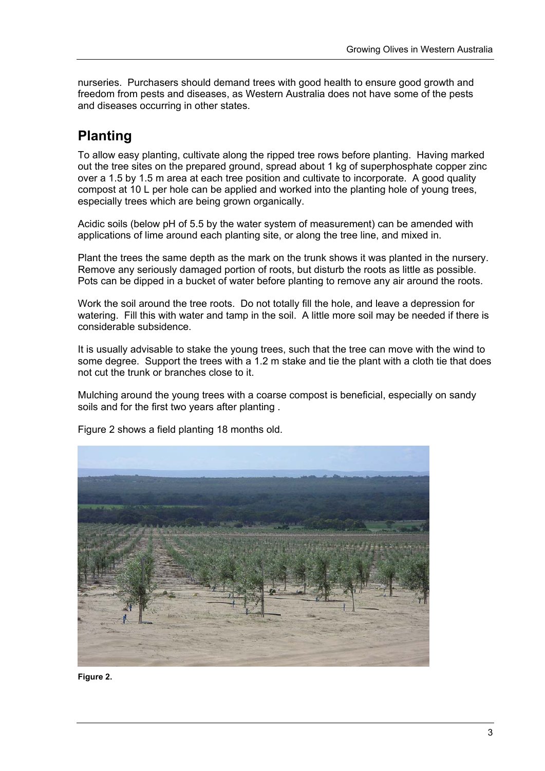nurseries. Purchasers should demand trees with good health to ensure good growth and freedom from pests and diseases, as Western Australia does not have some of the pests and diseases occurring in other states.

# **Planting**

To allow easy planting, cultivate along the ripped tree rows before planting. Having marked out the tree sites on the prepared ground, spread about 1 kg of superphosphate copper zinc over a 1.5 by 1.5 m area at each tree position and cultivate to incorporate. A good quality compost at 10 L per hole can be applied and worked into the planting hole of young trees, especially trees which are being grown organically.

Acidic soils (below pH of 5.5 by the water system of measurement) can be amended with applications of lime around each planting site, or along the tree line, and mixed in.

Plant the trees the same depth as the mark on the trunk shows it was planted in the nursery. Remove any seriously damaged portion of roots, but disturb the roots as little as possible. Pots can be dipped in a bucket of water before planting to remove any air around the roots.

Work the soil around the tree roots. Do not totally fill the hole, and leave a depression for watering. Fill this with water and tamp in the soil. A little more soil may be needed if there is considerable subsidence.

It is usually advisable to stake the young trees, such that the tree can move with the wind to some degree. Support the trees with a 1.2 m stake and tie the plant with a cloth tie that does not cut the trunk or branches close to it.

Mulching around the young trees with a coarse compost is beneficial, especially on sandy soils and for the first two years after planting .



Figure 2 shows a field planting 18 months old.

**Figure 2.**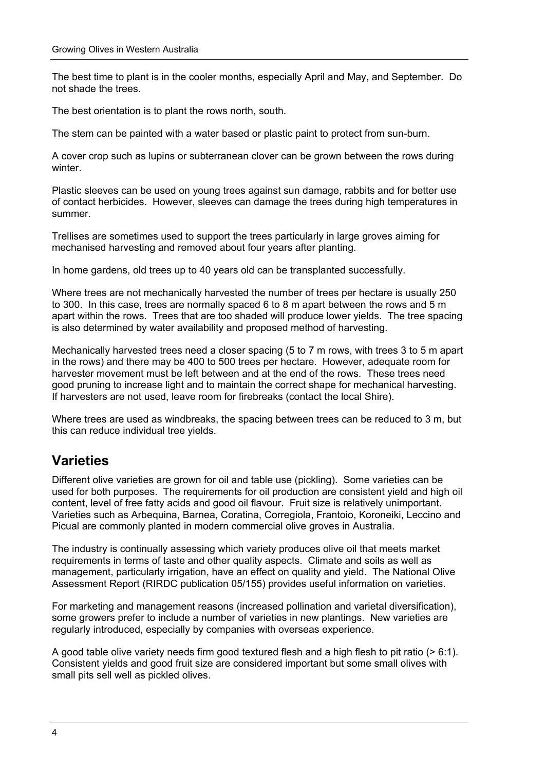The best time to plant is in the cooler months, especially April and May, and September. Do not shade the trees.

The best orientation is to plant the rows north, south.

The stem can be painted with a water based or plastic paint to protect from sun-burn.

A cover crop such as lupins or subterranean clover can be grown between the rows during winter.

Plastic sleeves can be used on young trees against sun damage, rabbits and for better use of contact herbicides. However, sleeves can damage the trees during high temperatures in summer.

Trellises are sometimes used to support the trees particularly in large groves aiming for mechanised harvesting and removed about four years after planting.

In home gardens, old trees up to 40 years old can be transplanted successfully.

Where trees are not mechanically harvested the number of trees per hectare is usually 250 to 300. In this case, trees are normally spaced 6 to 8 m apart between the rows and 5 m apart within the rows. Trees that are too shaded will produce lower yields. The tree spacing is also determined by water availability and proposed method of harvesting.

Mechanically harvested trees need a closer spacing (5 to 7 m rows, with trees 3 to 5 m apart in the rows) and there may be 400 to 500 trees per hectare. However, adequate room for harvester movement must be left between and at the end of the rows. These trees need good pruning to increase light and to maintain the correct shape for mechanical harvesting. If harvesters are not used, leave room for firebreaks (contact the local Shire).

Where trees are used as windbreaks, the spacing between trees can be reduced to 3 m, but this can reduce individual tree yields.

# **Varieties**

Different olive varieties are grown for oil and table use (pickling). Some varieties can be used for both purposes. The requirements for oil production are consistent yield and high oil content, level of free fatty acids and good oil flavour. Fruit size is relatively unimportant. Varieties such as Arbequina, Barnea, Coratina, Corregiola, Frantoio, Koroneiki, Leccino and Picual are commonly planted in modern commercial olive groves in Australia.

The industry is continually assessing which variety produces olive oil that meets market requirements in terms of taste and other quality aspects. Climate and soils as well as management, particularly irrigation, have an effect on quality and yield. The National Olive Assessment Report (RIRDC publication 05/155) provides useful information on varieties.

For marketing and management reasons (increased pollination and varietal diversification), some growers prefer to include a number of varieties in new plantings. New varieties are regularly introduced, especially by companies with overseas experience.

A good table olive variety needs firm good textured flesh and a high flesh to pit ratio  $(> 6:1)$ . Consistent yields and good fruit size are considered important but some small olives with small pits sell well as pickled olives.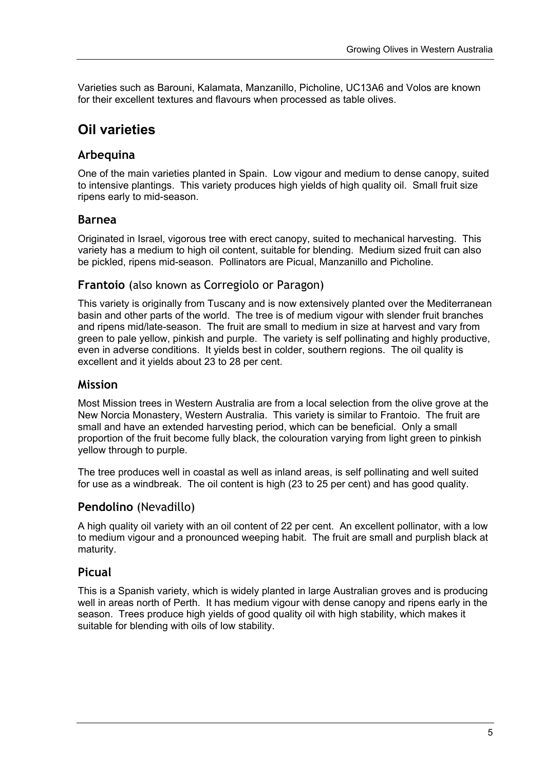Varieties such as Barouni, Kalamata, Manzanillo, Picholine, UC13A6 and Volos are known for their excellent textures and flavours when processed as table olives.

### **Oil varieties**

### **Arbequina**

One of the main varieties planted in Spain. Low vigour and medium to dense canopy, suited to intensive plantings. This variety produces high yields of high quality oil. Small fruit size ripens early to mid-season.

### **Barnea**

Originated in Israel, vigorous tree with erect canopy, suited to mechanical harvesting. This variety has a medium to high oil content, suitable for blending. Medium sized fruit can also be pickled, ripens mid-season. Pollinators are Picual, Manzanillo and Picholine.

#### **Frantoio** (also known as Corregiolo or Paragon)

This variety is originally from Tuscany and is now extensively planted over the Mediterranean basin and other parts of the world. The tree is of medium vigour with slender fruit branches and ripens mid/late-season. The fruit are small to medium in size at harvest and vary from green to pale yellow, pinkish and purple. The variety is self pollinating and highly productive, even in adverse conditions. It yields best in colder, southern regions. The oil quality is excellent and it yields about 23 to 28 per cent.

#### **Mission**

Most Mission trees in Western Australia are from a local selection from the olive grove at the New Norcia Monastery, Western Australia. This variety is similar to Frantoio. The fruit are small and have an extended harvesting period, which can be beneficial. Only a small proportion of the fruit become fully black, the colouration varying from light green to pinkish yellow through to purple.

The tree produces well in coastal as well as inland areas, is self pollinating and well suited for use as a windbreak. The oil content is high (23 to 25 per cent) and has good quality.

### **Pendolino** (Nevadillo)

A high quality oil variety with an oil content of 22 per cent. An excellent pollinator, with a low to medium vigour and a pronounced weeping habit. The fruit are small and purplish black at maturity.

### **Picual**

This is a Spanish variety, which is widely planted in large Australian groves and is producing well in areas north of Perth. It has medium vigour with dense canopy and ripens early in the season. Trees produce high yields of good quality oil with high stability, which makes it suitable for blending with oils of low stability.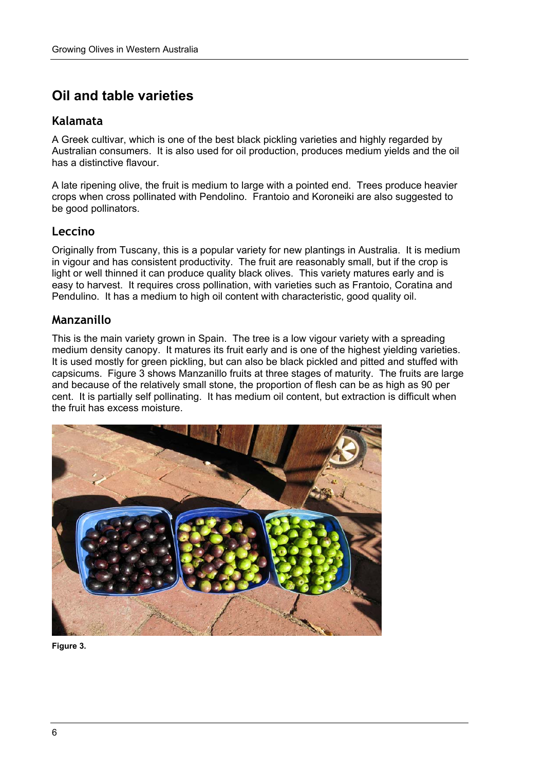# **Oil and table varieties**

### **Kalamata**

A Greek cultivar, which is one of the best black pickling varieties and highly regarded by Australian consumers. It is also used for oil production, produces medium yields and the oil has a distinctive flavour.

A late ripening olive, the fruit is medium to large with a pointed end. Trees produce heavier crops when cross pollinated with Pendolino. Frantoio and Koroneiki are also suggested to be good pollinators.

### **Leccino**

Originally from Tuscany, this is a popular variety for new plantings in Australia. It is medium in vigour and has consistent productivity. The fruit are reasonably small, but if the crop is light or well thinned it can produce quality black olives. This variety matures early and is easy to harvest. It requires cross pollination, with varieties such as Frantoio, Coratina and Pendulino. It has a medium to high oil content with characteristic, good quality oil.

### **Manzanillo**

This is the main variety grown in Spain. The tree is a low vigour variety with a spreading medium density canopy. It matures its fruit early and is one of the highest yielding varieties. It is used mostly for green pickling, but can also be black pickled and pitted and stuffed with capsicums. Figure 3 shows Manzanillo fruits at three stages of maturity. The fruits are large and because of the relatively small stone, the proportion of flesh can be as high as 90 per cent. It is partially self pollinating. It has medium oil content, but extraction is difficult when the fruit has excess moisture.



**Figure 3.**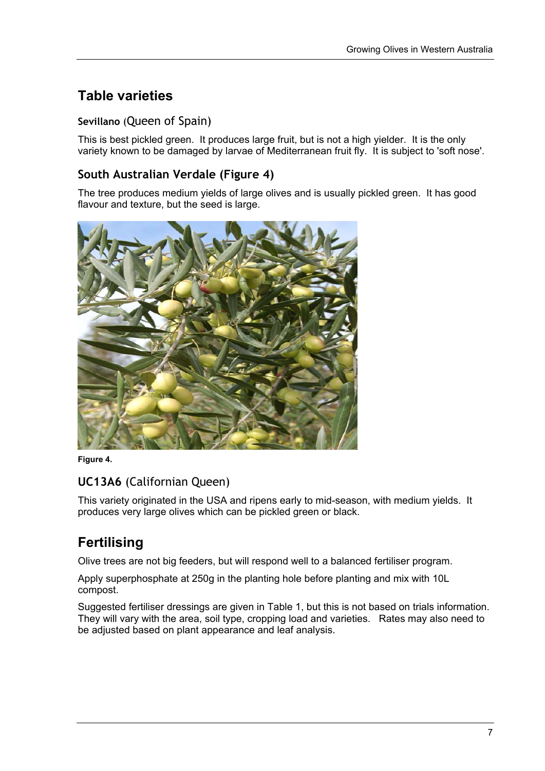# **Table varieties**

### **Sevillano** (Queen of Spain)

This is best pickled green. It produces large fruit, but is not a high yielder. It is the only variety known to be damaged by larvae of Mediterranean fruit fly. It is subject to 'soft nose'.

### **South Australian Verdale (Figure 4)**

The tree produces medium yields of large olives and is usually pickled green. It has good flavour and texture, but the seed is large.



**Figure 4.** 

### **UC13A6** (Californian Queen)

This variety originated in the USA and ripens early to mid-season, with medium yields. It produces very large olives which can be pickled green or black.

# **Fertilising**

Olive trees are not big feeders, but will respond well to a balanced fertiliser program.

Apply superphosphate at 250g in the planting hole before planting and mix with 10L compost.

Suggested fertiliser dressings are given in Table 1, but this is not based on trials information. They will vary with the area, soil type, cropping load and varieties. Rates may also need to be adjusted based on plant appearance and leaf analysis.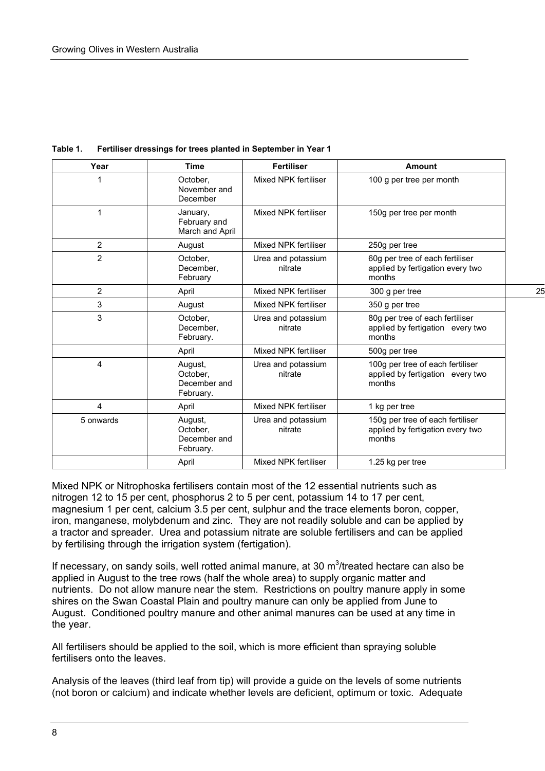| Year           | <b>Time</b>                                      | <b>Fertiliser</b>             | <b>Amount</b>                                                                  |    |
|----------------|--------------------------------------------------|-------------------------------|--------------------------------------------------------------------------------|----|
|                | October,<br>November and<br>December             | Mixed NPK fertiliser          | 100 g per tree per month                                                       |    |
| 1              | January,<br>February and<br>March and April      | Mixed NPK fertiliser          | 150g per tree per month                                                        |    |
| $\overline{2}$ | August                                           | Mixed NPK fertiliser          | 250g per tree                                                                  |    |
| $\overline{2}$ | October,<br>December,<br>February                | Urea and potassium<br>nitrate | 60g per tree of each fertiliser<br>applied by fertigation every two<br>months  |    |
| $\overline{2}$ | April                                            | Mixed NPK fertiliser          | 300 g per tree                                                                 | 25 |
| 3              | August                                           | Mixed NPK fertiliser          | 350 g per tree                                                                 |    |
| 3              | October,<br>December.<br>February.               | Urea and potassium<br>nitrate | 80g per tree of each fertiliser<br>applied by fertigation every two<br>months  |    |
|                | April                                            | Mixed NPK fertiliser          | 500g per tree                                                                  |    |
| 4              | August,<br>October,<br>December and<br>February. | Urea and potassium<br>nitrate | 100g per tree of each fertiliser<br>applied by fertigation every two<br>months |    |
| $\overline{4}$ | April                                            | Mixed NPK fertiliser          | 1 kg per tree                                                                  |    |
| 5 onwards      | August,<br>October,<br>December and<br>February. | Urea and potassium<br>nitrate | 150g per tree of each fertiliser<br>applied by fertigation every two<br>months |    |
|                | April                                            | Mixed NPK fertiliser          | 1.25 kg per tree                                                               |    |

**Table 1. Fertiliser dressings for trees planted in September in Year 1** 

Mixed NPK or Nitrophoska fertilisers contain most of the 12 essential nutrients such as nitrogen 12 to 15 per cent, phosphorus 2 to 5 per cent, potassium 14 to 17 per cent, magnesium 1 per cent, calcium 3.5 per cent, sulphur and the trace elements boron, copper, iron, manganese, molybdenum and zinc. They are not readily soluble and can be applied by a tractor and spreader. Urea and potassium nitrate are soluble fertilisers and can be applied by fertilising through the irrigation system (fertigation).

If necessary, on sandy soils, well rotted animal manure, at 30  $m^3$ /treated hectare can also be applied in August to the tree rows (half the whole area) to supply organic matter and nutrients. Do not allow manure near the stem. Restrictions on poultry manure apply in some shires on the Swan Coastal Plain and poultry manure can only be applied from June to August. Conditioned poultry manure and other animal manures can be used at any time in the year.

All fertilisers should be applied to the soil, which is more efficient than spraying soluble fertilisers onto the leaves.

Analysis of the leaves (third leaf from tip) will provide a guide on the levels of some nutrients (not boron or calcium) and indicate whether levels are deficient, optimum or toxic. Adequate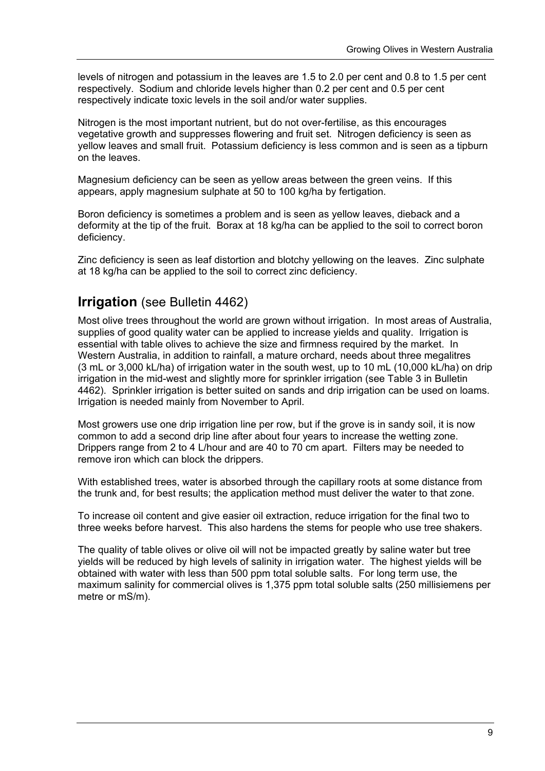levels of nitrogen and potassium in the leaves are 1.5 to 2.0 per cent and 0.8 to 1.5 per cent respectively. Sodium and chloride levels higher than 0.2 per cent and 0.5 per cent respectively indicate toxic levels in the soil and/or water supplies.

Nitrogen is the most important nutrient, but do not over-fertilise, as this encourages vegetative growth and suppresses flowering and fruit set. Nitrogen deficiency is seen as yellow leaves and small fruit. Potassium deficiency is less common and is seen as a tipburn on the leaves.

Magnesium deficiency can be seen as yellow areas between the green veins. If this appears, apply magnesium sulphate at 50 to 100 kg/ha by fertigation.

Boron deficiency is sometimes a problem and is seen as yellow leaves, dieback and a deformity at the tip of the fruit. Borax at 18 kg/ha can be applied to the soil to correct boron deficiency.

Zinc deficiency is seen as leaf distortion and blotchy yellowing on the leaves. Zinc sulphate at 18 kg/ha can be applied to the soil to correct zinc deficiency.

### **Irrigation** (see Bulletin 4462)

Most olive trees throughout the world are grown without irrigation. In most areas of Australia, supplies of good quality water can be applied to increase yields and quality. Irrigation is essential with table olives to achieve the size and firmness required by the market. In Western Australia, in addition to rainfall, a mature orchard, needs about three megalitres (3 mL or 3,000 kL/ha) of irrigation water in the south west, up to 10 mL (10,000 kL/ha) on drip irrigation in the mid-west and slightly more for sprinkler irrigation (see Table 3 in Bulletin 4462). Sprinkler irrigation is better suited on sands and drip irrigation can be used on loams. Irrigation is needed mainly from November to April.

Most growers use one drip irrigation line per row, but if the grove is in sandy soil, it is now common to add a second drip line after about four years to increase the wetting zone. Drippers range from 2 to 4 L/hour and are 40 to 70 cm apart. Filters may be needed to remove iron which can block the drippers.

With established trees, water is absorbed through the capillary roots at some distance from the trunk and, for best results; the application method must deliver the water to that zone.

To increase oil content and give easier oil extraction, reduce irrigation for the final two to three weeks before harvest. This also hardens the stems for people who use tree shakers.

The quality of table olives or olive oil will not be impacted greatly by saline water but tree yields will be reduced by high levels of salinity in irrigation water. The highest yields will be obtained with water with less than 500 ppm total soluble salts. For long term use, the maximum salinity for commercial olives is 1,375 ppm total soluble salts (250 millisiemens per metre or mS/m).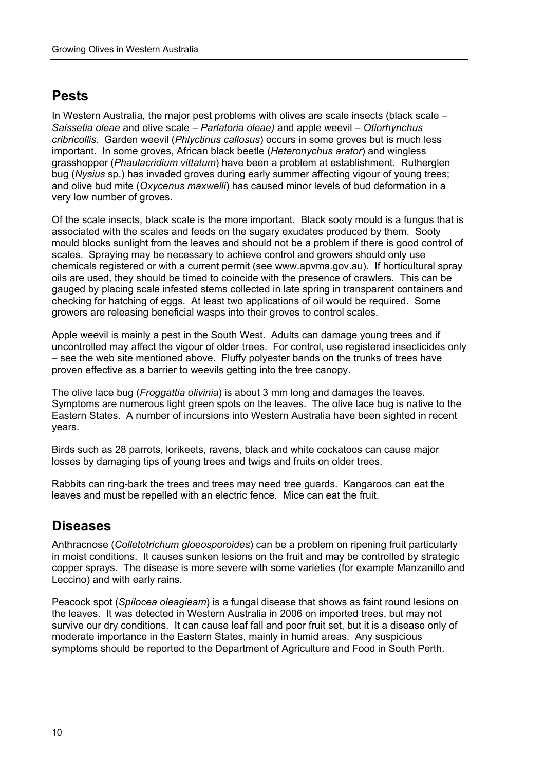### **Pests**

In Western Australia, the major pest problems with olives are scale insects (black scale − *Saissetia oleae* and olive scale − *Parlatoria oleae)* and apple weevil − *Otiorhynchus cribricollis*. Garden weevil (*Phlyctinus callosus*) occurs in some groves but is much less important. In some groves, African black beetle (*Heteronychus arator*) and wingless grasshopper (*Phaulacridium vittatum*) have been a problem at establishment. Rutherglen bug (*Nysius* sp.) has invaded groves during early summer affecting vigour of young trees; and olive bud mite (*Oxycenus maxwelli*) has caused minor levels of bud deformation in a very low number of groves.

Of the scale insects, black scale is the more important. Black sooty mould is a fungus that is associated with the scales and feeds on the sugary exudates produced by them. Sooty mould blocks sunlight from the leaves and should not be a problem if there is good control of scales. Spraying may be necessary to achieve control and growers should only use chemicals registered or with a current permit (see www.apvma.gov.au). If horticultural spray oils are used, they should be timed to coincide with the presence of crawlers. This can be gauged by placing scale infested stems collected in late spring in transparent containers and checking for hatching of eggs. At least two applications of oil would be required. Some growers are releasing beneficial wasps into their groves to control scales.

Apple weevil is mainly a pest in the South West. Adults can damage young trees and if uncontrolled may affect the vigour of older trees. For control, use registered insecticides only – see the web site mentioned above. Fluffy polyester bands on the trunks of trees have proven effective as a barrier to weevils getting into the tree canopy.

The olive lace bug (*Froggattia olivinia*) is about 3 mm long and damages the leaves. Symptoms are numerous light green spots on the leaves. The olive lace bug is native to the Eastern States. A number of incursions into Western Australia have been sighted in recent years.

Birds such as 28 parrots, lorikeets, ravens, black and white cockatoos can cause major losses by damaging tips of young trees and twigs and fruits on older trees.

Rabbits can ring-bark the trees and trees may need tree guards. Kangaroos can eat the leaves and must be repelled with an electric fence. Mice can eat the fruit.

# **Diseases**

Anthracnose (*Colletotrichum gloeosporoides*) can be a problem on ripening fruit particularly in moist conditions. It causes sunken lesions on the fruit and may be controlled by strategic copper sprays. The disease is more severe with some varieties (for example Manzanillo and Leccino) and with early rains.

Peacock spot (*Spilocea oleagieam*) is a fungal disease that shows as faint round lesions on the leaves. It was detected in Western Australia in 2006 on imported trees, but may not survive our dry conditions. It can cause leaf fall and poor fruit set, but it is a disease only of moderate importance in the Eastern States, mainly in humid areas. Any suspicious symptoms should be reported to the Department of Agriculture and Food in South Perth.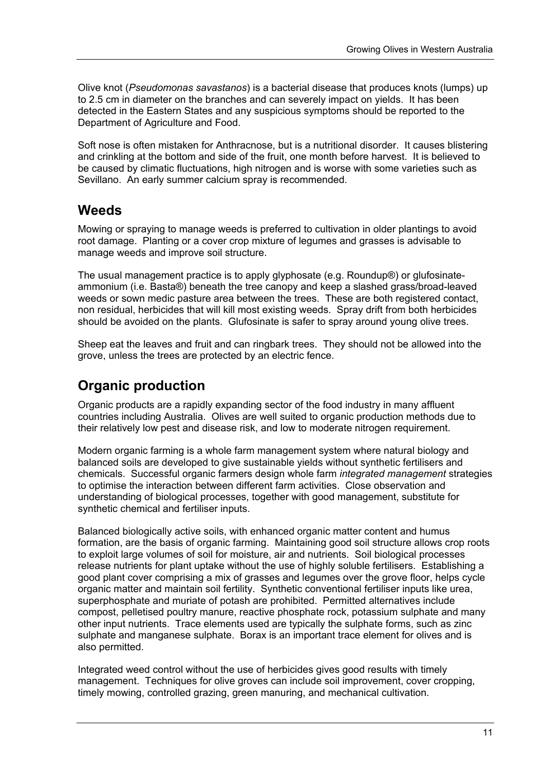Olive knot (*Pseudomonas savastanos*) is a bacterial disease that produces knots (lumps) up to 2.5 cm in diameter on the branches and can severely impact on yields. It has been detected in the Eastern States and any suspicious symptoms should be reported to the Department of Agriculture and Food.

Soft nose is often mistaken for Anthracnose, but is a nutritional disorder. It causes blistering and crinkling at the bottom and side of the fruit, one month before harvest. It is believed to be caused by climatic fluctuations, high nitrogen and is worse with some varieties such as Sevillano. An early summer calcium spray is recommended.

### **Weeds**

Mowing or spraying to manage weeds is preferred to cultivation in older plantings to avoid root damage. Planting or a cover crop mixture of legumes and grasses is advisable to manage weeds and improve soil structure.

The usual management practice is to apply glyphosate (e.g. Roundup®) or glufosinateammonium (i.e. Basta®) beneath the tree canopy and keep a slashed grass/broad-leaved weeds or sown medic pasture area between the trees. These are both registered contact, non residual, herbicides that will kill most existing weeds. Spray drift from both herbicides should be avoided on the plants. Glufosinate is safer to spray around young olive trees.

Sheep eat the leaves and fruit and can ringbark trees. They should not be allowed into the grove, unless the trees are protected by an electric fence.

# **Organic production**

Organic products are a rapidly expanding sector of the food industry in many affluent countries including Australia. Olives are well suited to organic production methods due to their relatively low pest and disease risk, and low to moderate nitrogen requirement.

Modern organic farming is a whole farm management system where natural biology and balanced soils are developed to give sustainable yields without synthetic fertilisers and chemicals. Successful organic farmers design whole farm *integrated management* strategies to optimise the interaction between different farm activities. Close observation and understanding of biological processes, together with good management, substitute for synthetic chemical and fertiliser inputs.

Balanced biologically active soils, with enhanced organic matter content and humus formation, are the basis of organic farming. Maintaining good soil structure allows crop roots to exploit large volumes of soil for moisture, air and nutrients. Soil biological processes release nutrients for plant uptake without the use of highly soluble fertilisers. Establishing a good plant cover comprising a mix of grasses and legumes over the grove floor, helps cycle organic matter and maintain soil fertility. Synthetic conventional fertiliser inputs like urea, superphosphate and muriate of potash are prohibited. Permitted alternatives include compost, pelletised poultry manure, reactive phosphate rock, potassium sulphate and many other input nutrients. Trace elements used are typically the sulphate forms, such as zinc sulphate and manganese sulphate. Borax is an important trace element for olives and is also permitted.

Integrated weed control without the use of herbicides gives good results with timely management. Techniques for olive groves can include soil improvement, cover cropping, timely mowing, controlled grazing, green manuring, and mechanical cultivation.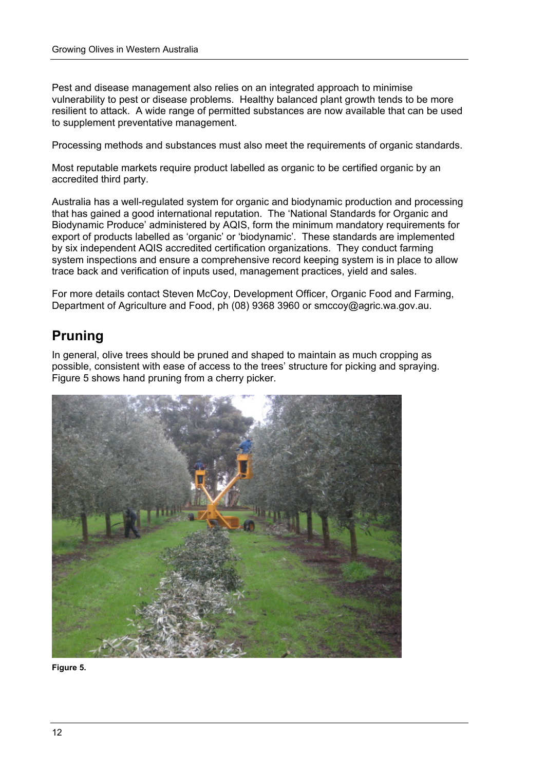Pest and disease management also relies on an integrated approach to minimise vulnerability to pest or disease problems. Healthy balanced plant growth tends to be more resilient to attack. A wide range of permitted substances are now available that can be used to supplement preventative management.

Processing methods and substances must also meet the requirements of organic standards.

Most reputable markets require product labelled as organic to be certified organic by an accredited third party.

Australia has a well-regulated system for organic and biodynamic production and processing that has gained a good international reputation. The 'National Standards for Organic and Biodynamic Produce' administered by AQIS, form the minimum mandatory requirements for export of products labelled as 'organic' or 'biodynamic'. These standards are implemented by six independent AQIS accredited certification organizations. They conduct farming system inspections and ensure a comprehensive record keeping system is in place to allow trace back and verification of inputs used, management practices, yield and sales.

For more details contact Steven McCoy, Development Officer, Organic Food and Farming, Department of Agriculture and Food, ph (08) 9368 3960 or smccoy@agric.wa.gov.au.

### **Pruning**

In general, olive trees should be pruned and shaped to maintain as much cropping as possible, consistent with ease of access to the trees' structure for picking and spraying. Figure 5 shows hand pruning from a cherry picker.



**Figure 5.**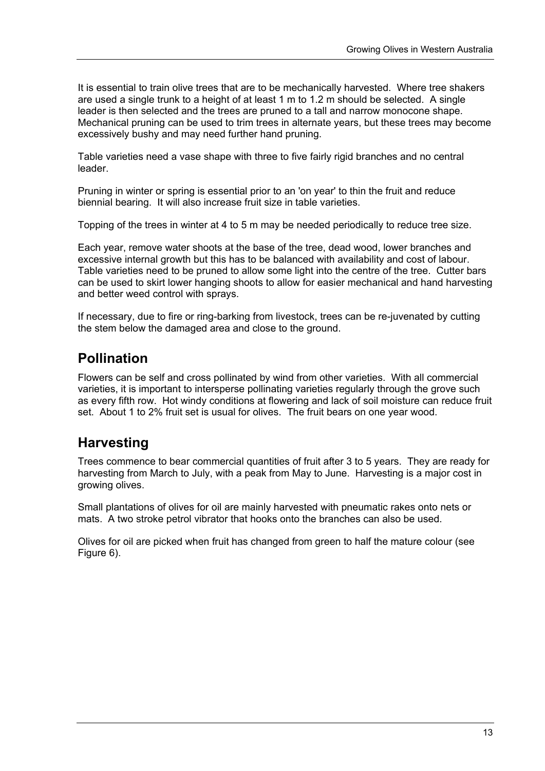It is essential to train olive trees that are to be mechanically harvested. Where tree shakers are used a single trunk to a height of at least 1 m to 1.2 m should be selected. A single leader is then selected and the trees are pruned to a tall and narrow monocone shape. Mechanical pruning can be used to trim trees in alternate years, but these trees may become excessively bushy and may need further hand pruning.

Table varieties need a vase shape with three to five fairly rigid branches and no central leader.

Pruning in winter or spring is essential prior to an 'on year' to thin the fruit and reduce biennial bearing. It will also increase fruit size in table varieties.

Topping of the trees in winter at 4 to 5 m may be needed periodically to reduce tree size.

Each year, remove water shoots at the base of the tree, dead wood, lower branches and excessive internal growth but this has to be balanced with availability and cost of labour. Table varieties need to be pruned to allow some light into the centre of the tree. Cutter bars can be used to skirt lower hanging shoots to allow for easier mechanical and hand harvesting and better weed control with sprays.

If necessary, due to fire or ring-barking from livestock, trees can be re-juvenated by cutting the stem below the damaged area and close to the ground.

# **Pollination**

Flowers can be self and cross pollinated by wind from other varieties. With all commercial varieties, it is important to intersperse pollinating varieties regularly through the grove such as every fifth row. Hot windy conditions at flowering and lack of soil moisture can reduce fruit set. About 1 to 2% fruit set is usual for olives. The fruit bears on one year wood.

# **Harvesting**

Trees commence to bear commercial quantities of fruit after 3 to 5 years. They are ready for harvesting from March to July, with a peak from May to June. Harvesting is a major cost in growing olives.

Small plantations of olives for oil are mainly harvested with pneumatic rakes onto nets or mats. A two stroke petrol vibrator that hooks onto the branches can also be used.

Olives for oil are picked when fruit has changed from green to half the mature colour (see Figure 6).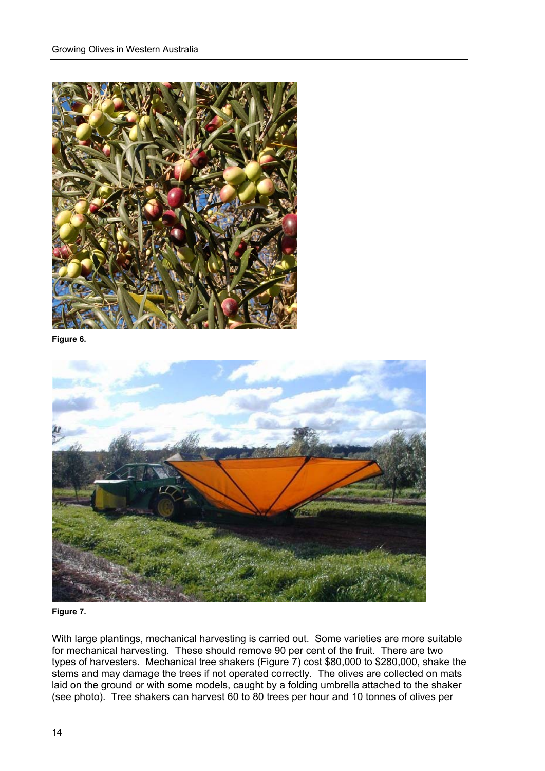

**Figure 6.** 



**Figure 7.** 

With large plantings, mechanical harvesting is carried out. Some varieties are more suitable for mechanical harvesting. These should remove 90 per cent of the fruit. There are two types of harvesters. Mechanical tree shakers (Figure 7) cost \$80,000 to \$280,000, shake the stems and may damage the trees if not operated correctly. The olives are collected on mats laid on the ground or with some models, caught by a folding umbrella attached to the shaker (see photo). Tree shakers can harvest 60 to 80 trees per hour and 10 tonnes of olives per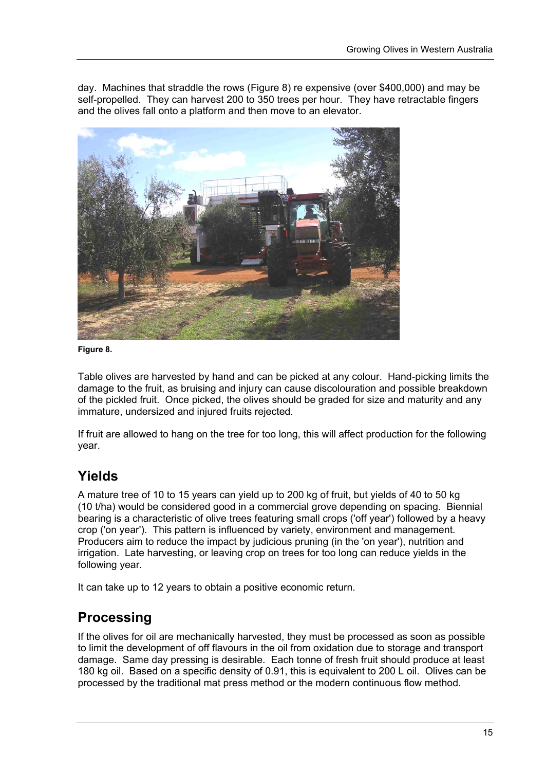day. Machines that straddle the rows (Figure 8) re expensive (over \$400,000) and may be self-propelled. They can harvest 200 to 350 trees per hour. They have retractable fingers and the olives fall onto a platform and then move to an elevator.



**Figure 8.** 

Table olives are harvested by hand and can be picked at any colour. Hand-picking limits the damage to the fruit, as bruising and injury can cause discolouration and possible breakdown of the pickled fruit. Once picked, the olives should be graded for size and maturity and any immature, undersized and injured fruits rejected.

If fruit are allowed to hang on the tree for too long, this will affect production for the following year.

# **Yields**

A mature tree of 10 to 15 years can yield up to 200 kg of fruit, but yields of 40 to 50 kg (10 t/ha) would be considered good in a commercial grove depending on spacing. Biennial bearing is a characteristic of olive trees featuring small crops ('off year') followed by a heavy crop ('on year'). This pattern is influenced by variety, environment and management. Producers aim to reduce the impact by judicious pruning (in the 'on year'), nutrition and irrigation. Late harvesting, or leaving crop on trees for too long can reduce yields in the following year.

It can take up to 12 years to obtain a positive economic return.

### **Processing**

If the olives for oil are mechanically harvested, they must be processed as soon as possible to limit the development of off flavours in the oil from oxidation due to storage and transport damage. Same day pressing is desirable. Each tonne of fresh fruit should produce at least 180 kg oil. Based on a specific density of 0.91, this is equivalent to 200 L oil. Olives can be processed by the traditional mat press method or the modern continuous flow method.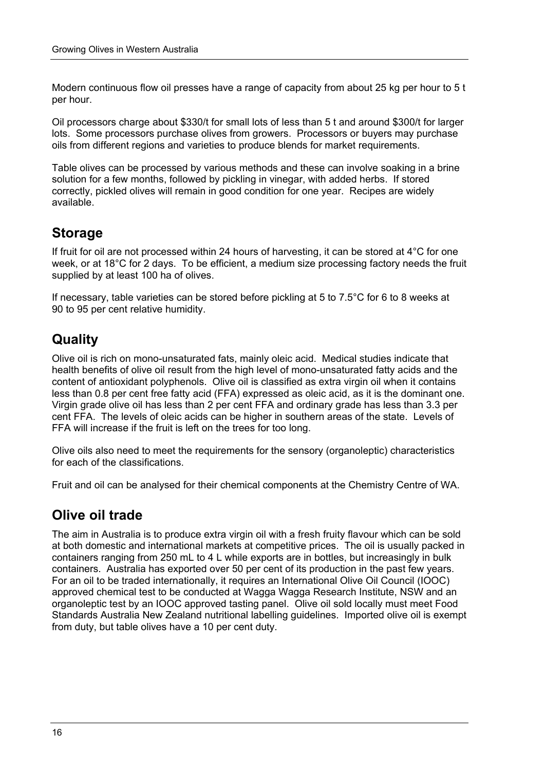Modern continuous flow oil presses have a range of capacity from about 25 kg per hour to 5 t per hour.

Oil processors charge about \$330/t for small lots of less than 5 t and around \$300/t for larger lots. Some processors purchase olives from growers. Processors or buyers may purchase oils from different regions and varieties to produce blends for market requirements.

Table olives can be processed by various methods and these can involve soaking in a brine solution for a few months, followed by pickling in vinegar, with added herbs. If stored correctly, pickled olives will remain in good condition for one year. Recipes are widely available.

### **Storage**

If fruit for oil are not processed within 24 hours of harvesting, it can be stored at 4°C for one week, or at 18°C for 2 days. To be efficient, a medium size processing factory needs the fruit supplied by at least 100 ha of olives.

If necessary, table varieties can be stored before pickling at 5 to 7.5°C for 6 to 8 weeks at 90 to 95 per cent relative humidity.

# **Quality**

Olive oil is rich on mono-unsaturated fats, mainly oleic acid. Medical studies indicate that health benefits of olive oil result from the high level of mono-unsaturated fatty acids and the content of antioxidant polyphenols. Olive oil is classified as extra virgin oil when it contains less than 0.8 per cent free fatty acid (FFA) expressed as oleic acid, as it is the dominant one. Virgin grade olive oil has less than 2 per cent FFA and ordinary grade has less than 3.3 per cent FFA. The levels of oleic acids can be higher in southern areas of the state. Levels of FFA will increase if the fruit is left on the trees for too long.

Olive oils also need to meet the requirements for the sensory (organoleptic) characteristics for each of the classifications.

Fruit and oil can be analysed for their chemical components at the Chemistry Centre of WA.

### **Olive oil trade**

The aim in Australia is to produce extra virgin oil with a fresh fruity flavour which can be sold at both domestic and international markets at competitive prices. The oil is usually packed in containers ranging from 250 mL to 4 L while exports are in bottles, but increasingly in bulk containers. Australia has exported over 50 per cent of its production in the past few years. For an oil to be traded internationally, it requires an International Olive Oil Council (IOOC) approved chemical test to be conducted at Wagga Wagga Research Institute, NSW and an organoleptic test by an IOOC approved tasting panel. Olive oil sold locally must meet Food Standards Australia New Zealand nutritional labelling guidelines. Imported olive oil is exempt from duty, but table olives have a 10 per cent duty.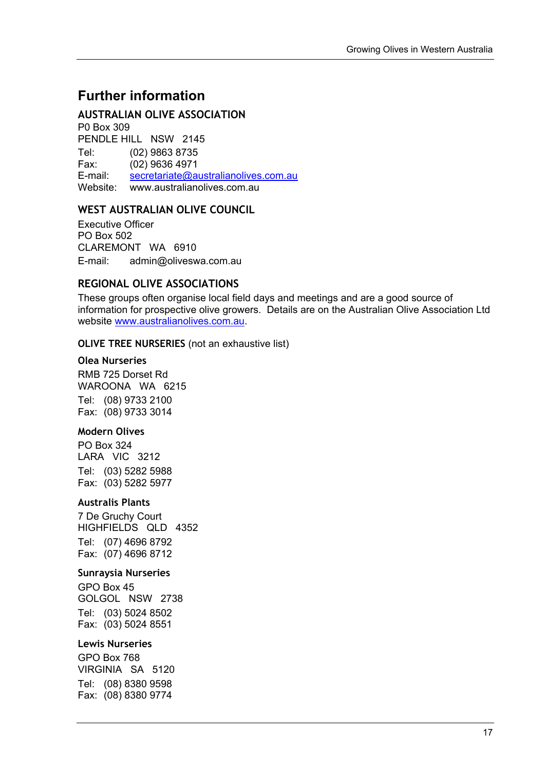### **Further information**

#### **AUSTRALIAN OLIVE ASSOCIATION**

P0 Box 309 PENDLE HILL NSW 2145 Tel: (02) 9863 8735 Fax: (02) 9636 4971 E-mail: [secretariate@australianolives.com.au](mailto:secretariate@australianolives.com.au) Website: www.australianolives.com.au

#### **WEST AUSTRALIAN OLIVE COUNCIL**

Executive Officer PO Box 502 CLAREMONT WA 6910 E-mail: admin@oliveswa.com.au

#### **REGIONAL OLIVE ASSOCIATIONS**

These groups often organise local field days and meetings and are a good source of information for prospective olive growers. Details are on the Australian Olive Association Ltd website [www.australianolives.com.au](http://www.australianolives.com.au/).

#### **OLIVE TREE NURSERIES** (not an exhaustive list)

#### **Olea Nurseries**

RMB 725 Dorset Rd WAROONA WA 6215 Tel: (08) 9733 2100 Fax: (08) 9733 3014

#### **Modern Olives**

PO Box 324 LARA VIC 3212 Tel: (03) 5282 5988 Fax: (03) 5282 5977

#### **Australis Plants**

7 De Gruchy Court HIGHFIELDS QLD 4352 Tel: (07) 4696 8792 Fax: (07) 4696 8712

#### **Sunraysia Nurseries**

GPO Box 45 GOLGOL NSW 2738 Tel: (03) 5024 8502 Fax: (03) 5024 8551

#### **Lewis Nurseries**

GPO Box 768 VIRGINIA SA 5120 Tel: (08) 8380 9598 Fax: (08) 8380 9774